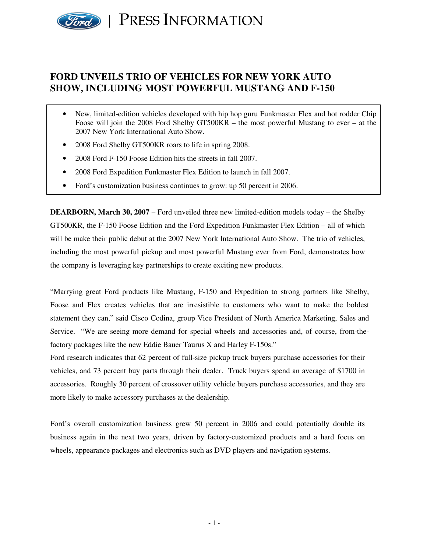

# **FORD UNVEILS TRIO OF VEHICLES FOR NEW YORK AUTO SHOW, INCLUDING MOST POWERFUL MUSTANG AND F-150**

- New, limited-edition vehicles developed with hip hop guru Funkmaster Flex and hot rodder Chip Foose will join the 2008 Ford Shelby GT500KR – the most powerful Mustang to ever – at the 2007 New York International Auto Show.
- 2008 Ford Shelby GT500KR roars to life in spring 2008.
- 2008 Ford F-150 Foose Edition hits the streets in fall 2007.
- 2008 Ford Expedition Funkmaster Flex Edition to launch in fall 2007.
- Ford's customization business continues to grow: up 50 percent in 2006.

**DEARBORN, March 30, 2007** – Ford unveiled three new limited-edition models today – the Shelby GT500KR, the F-150 Foose Edition and the Ford Expedition Funkmaster Flex Edition – all of which will be make their public debut at the 2007 New York International Auto Show. The trio of vehicles, including the most powerful pickup and most powerful Mustang ever from Ford, demonstrates how the company is leveraging key partnerships to create exciting new products.

"Marrying great Ford products like Mustang, F-150 and Expedition to strong partners like Shelby, Foose and Flex creates vehicles that are irresistible to customers who want to make the boldest statement they can," said Cisco Codina, group Vice President of North America Marketing, Sales and Service. "We are seeing more demand for special wheels and accessories and, of course, from-thefactory packages like the new Eddie Bauer Taurus X and Harley F-150s."

Ford research indicates that 62 percent of full-size pickup truck buyers purchase accessories for their vehicles, and 73 percent buy parts through their dealer. Truck buyers spend an average of \$1700 in accessories. Roughly 30 percent of crossover utility vehicle buyers purchase accessories, and they are more likely to make accessory purchases at the dealership.

Ford's overall customization business grew 50 percent in 2006 and could potentially double its business again in the next two years, driven by factory-customized products and a hard focus on wheels, appearance packages and electronics such as DVD players and navigation systems.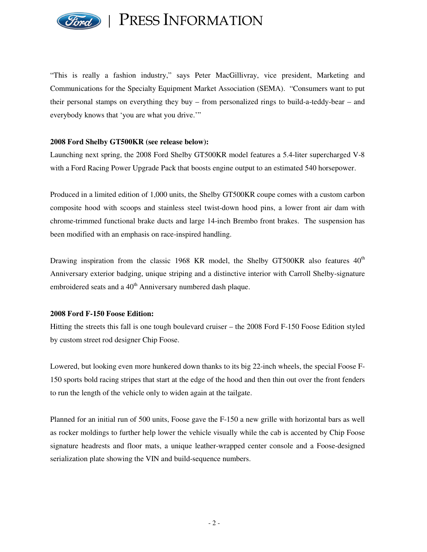

"This is really a fashion industry," says Peter MacGillivray, vice president, Marketing and Communications for the Specialty Equipment Market Association (SEMA). "Consumers want to put their personal stamps on everything they buy – from personalized rings to build-a-teddy-bear – and everybody knows that 'you are what you drive.'"

#### **2008 Ford Shelby GT500KR (see release below):**

Launching next spring, the 2008 Ford Shelby GT500KR model features a 5.4-liter supercharged V-8 with a Ford Racing Power Upgrade Pack that boosts engine output to an estimated 540 horsepower.

Produced in a limited edition of 1,000 units, the Shelby GT500KR coupe comes with a custom carbon composite hood with scoops and stainless steel twist-down hood pins, a lower front air dam with chrome-trimmed functional brake ducts and large 14-inch Brembo front brakes. The suspension has been modified with an emphasis on race-inspired handling.

Drawing inspiration from the classic 1968 KR model, the Shelby GT500KR also features  $40<sup>th</sup>$ Anniversary exterior badging, unique striping and a distinctive interior with Carroll Shelby-signature embroidered seats and a 40<sup>th</sup> Anniversary numbered dash plaque.

#### **2008 Ford F-150 Foose Edition:**

Hitting the streets this fall is one tough boulevard cruiser – the 2008 Ford F-150 Foose Edition styled by custom street rod designer Chip Foose.

Lowered, but looking even more hunkered down thanks to its big 22-inch wheels, the special Foose F-150 sports bold racing stripes that start at the edge of the hood and then thin out over the front fenders to run the length of the vehicle only to widen again at the tailgate.

Planned for an initial run of 500 units, Foose gave the F-150 a new grille with horizontal bars as well as rocker moldings to further help lower the vehicle visually while the cab is accented by Chip Foose signature headrests and floor mats, a unique leather-wrapped center console and a Foose-designed serialization plate showing the VIN and build-sequence numbers.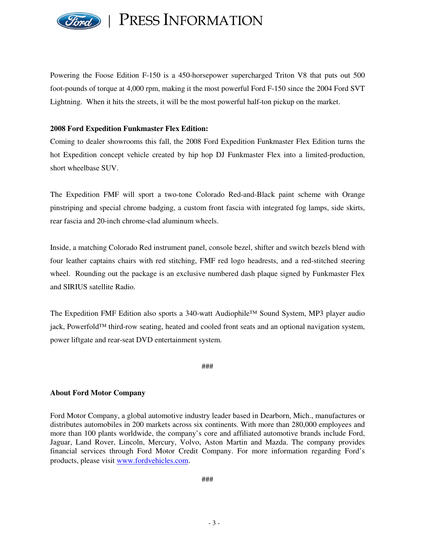

Powering the Foose Edition F-150 is a 450-horsepower supercharged Triton V8 that puts out 500 foot-pounds of torque at 4,000 rpm, making it the most powerful Ford F-150 since the 2004 Ford SVT Lightning. When it hits the streets, it will be the most powerful half-ton pickup on the market.

### **2008 Ford Expedition Funkmaster Flex Edition:**

Coming to dealer showrooms this fall, the 2008 Ford Expedition Funkmaster Flex Edition turns the hot Expedition concept vehicle created by hip hop DJ Funkmaster Flex into a limited-production, short wheelbase SUV.

The Expedition FMF will sport a two-tone Colorado Red-and-Black paint scheme with Orange pinstriping and special chrome badging, a custom front fascia with integrated fog lamps, side skirts, rear fascia and 20-inch chrome-clad aluminum wheels.

Inside, a matching Colorado Red instrument panel, console bezel, shifter and switch bezels blend with four leather captains chairs with red stitching, FMF red logo headrests, and a red-stitched steering wheel. Rounding out the package is an exclusive numbered dash plaque signed by Funkmaster Flex and SIRIUS satellite Radio.

The Expedition FMF Edition also sports a 340-watt Audiophile™ Sound System, MP3 player audio jack, Powerfold™ third-row seating, heated and cooled front seats and an optional navigation system, power liftgate and rear-seat DVD entertainment system.

###

#### **About Ford Motor Company**

Ford Motor Company, a global automotive industry leader based in Dearborn, Mich., manufactures or distributes automobiles in 200 markets across six continents. With more than 280,000 employees and more than 100 plants worldwide, the company's core and affiliated automotive brands include Ford, Jaguar, Land Rover, Lincoln, Mercury, Volvo, Aston Martin and Mazda. The company provides financial services through Ford Motor Credit Company. For more information regarding Ford's products, please visit www.fordvehicles.com.

###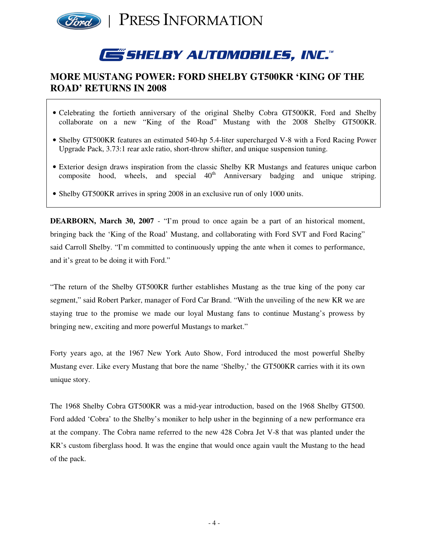

# **GSHELBY AUTOMOBILES, INC."**

# **MORE MUSTANG POWER: FORD SHELBY GT500KR 'KING OF THE ROAD' RETURNS IN 2008**

- Celebrating the fortieth anniversary of the original Shelby Cobra GT500KR, Ford and Shelby collaborate on a new "King of the Road" Mustang with the 2008 Shelby GT500KR.
- Shelby GT500KR features an estimated 540-hp 5.4-liter supercharged V-8 with a Ford Racing Power Upgrade Pack, 3.73:1 rear axle ratio, short-throw shifter, and unique suspension tuning.
- Exterior design draws inspiration from the classic Shelby KR Mustangs and features unique carbon composite hood, wheels, and special  $40<sup>th</sup>$ Anniversary badging and unique striping.
- Shelby GT500KR arrives in spring 2008 in an exclusive run of only 1000 units.

**DEARBORN, March 30, 2007** - "I'm proud to once again be a part of an historical moment, bringing back the 'King of the Road' Mustang, and collaborating with Ford SVT and Ford Racing" said Carroll Shelby. "I'm committed to continuously upping the ante when it comes to performance, and it's great to be doing it with Ford."

"The return of the Shelby GT500KR further establishes Mustang as the true king of the pony car segment," said Robert Parker, manager of Ford Car Brand. "With the unveiling of the new KR we are staying true to the promise we made our loyal Mustang fans to continue Mustang's prowess by bringing new, exciting and more powerful Mustangs to market."

Forty years ago, at the 1967 New York Auto Show, Ford introduced the most powerful Shelby Mustang ever. Like every Mustang that bore the name 'Shelby,' the GT500KR carries with it its own unique story.

The 1968 Shelby Cobra GT500KR was a mid-year introduction, based on the 1968 Shelby GT500. Ford added 'Cobra' to the Shelby's moniker to help usher in the beginning of a new performance era at the company. The Cobra name referred to the new 428 Cobra Jet V-8 that was planted under the KR's custom fiberglass hood. It was the engine that would once again vault the Mustang to the head of the pack.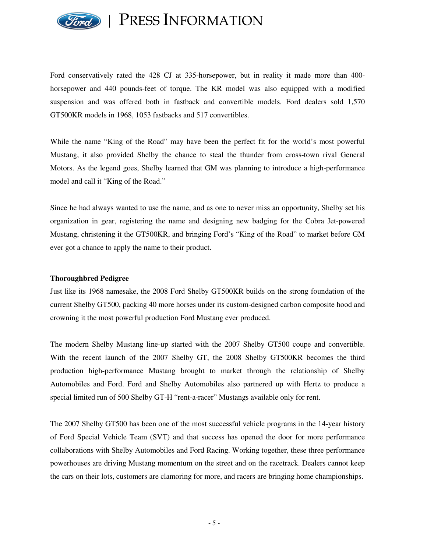

Ford conservatively rated the 428 CJ at 335-horsepower, but in reality it made more than 400 horsepower and 440 pounds-feet of torque. The KR model was also equipped with a modified suspension and was offered both in fastback and convertible models. Ford dealers sold 1,570 GT500KR models in 1968, 1053 fastbacks and 517 convertibles.

While the name "King of the Road" may have been the perfect fit for the world's most powerful Mustang, it also provided Shelby the chance to steal the thunder from cross-town rival General Motors. As the legend goes, Shelby learned that GM was planning to introduce a high-performance model and call it "King of the Road."

Since he had always wanted to use the name, and as one to never miss an opportunity, Shelby set his organization in gear, registering the name and designing new badging for the Cobra Jet-powered Mustang, christening it the GT500KR, and bringing Ford's "King of the Road" to market before GM ever got a chance to apply the name to their product.

#### **Thoroughbred Pedigree**

Just like its 1968 namesake, the 2008 Ford Shelby GT500KR builds on the strong foundation of the current Shelby GT500, packing 40 more horses under its custom-designed carbon composite hood and crowning it the most powerful production Ford Mustang ever produced.

The modern Shelby Mustang line-up started with the 2007 Shelby GT500 coupe and convertible. With the recent launch of the 2007 Shelby GT, the 2008 Shelby GT500KR becomes the third production high-performance Mustang brought to market through the relationship of Shelby Automobiles and Ford. Ford and Shelby Automobiles also partnered up with Hertz to produce a special limited run of 500 Shelby GT-H "rent-a-racer" Mustangs available only for rent.

The 2007 Shelby GT500 has been one of the most successful vehicle programs in the 14-year history of Ford Special Vehicle Team (SVT) and that success has opened the door for more performance collaborations with Shelby Automobiles and Ford Racing. Working together, these three performance powerhouses are driving Mustang momentum on the street and on the racetrack. Dealers cannot keep the cars on their lots, customers are clamoring for more, and racers are bringing home championships.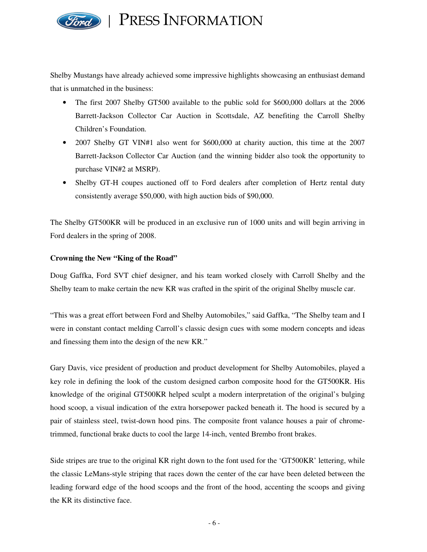

Shelby Mustangs have already achieved some impressive highlights showcasing an enthusiast demand that is unmatched in the business:

- The first 2007 Shelby GT500 available to the public sold for \$600,000 dollars at the 2006 Barrett-Jackson Collector Car Auction in Scottsdale, AZ benefiting the Carroll Shelby Children's Foundation.
- 2007 Shelby GT VIN#1 also went for \$600,000 at charity auction, this time at the 2007 Barrett-Jackson Collector Car Auction (and the winning bidder also took the opportunity to purchase VIN#2 at MSRP).
- Shelby GT-H coupes auctioned off to Ford dealers after completion of Hertz rental duty consistently average \$50,000, with high auction bids of \$90,000.

The Shelby GT500KR will be produced in an exclusive run of 1000 units and will begin arriving in Ford dealers in the spring of 2008.

# **Crowning the New "King of the Road"**

Doug Gaffka, Ford SVT chief designer, and his team worked closely with Carroll Shelby and the Shelby team to make certain the new KR was crafted in the spirit of the original Shelby muscle car.

"This was a great effort between Ford and Shelby Automobiles," said Gaffka, "The Shelby team and I were in constant contact melding Carroll's classic design cues with some modern concepts and ideas and finessing them into the design of the new KR."

Gary Davis, vice president of production and product development for Shelby Automobiles, played a key role in defining the look of the custom designed carbon composite hood for the GT500KR. His knowledge of the original GT500KR helped sculpt a modern interpretation of the original's bulging hood scoop, a visual indication of the extra horsepower packed beneath it. The hood is secured by a pair of stainless steel, twist-down hood pins. The composite front valance houses a pair of chrometrimmed, functional brake ducts to cool the large 14-inch, vented Brembo front brakes.

Side stripes are true to the original KR right down to the font used for the 'GT500KR' lettering, while the classic LeMans-style striping that races down the center of the car have been deleted between the leading forward edge of the hood scoops and the front of the hood, accenting the scoops and giving the KR its distinctive face.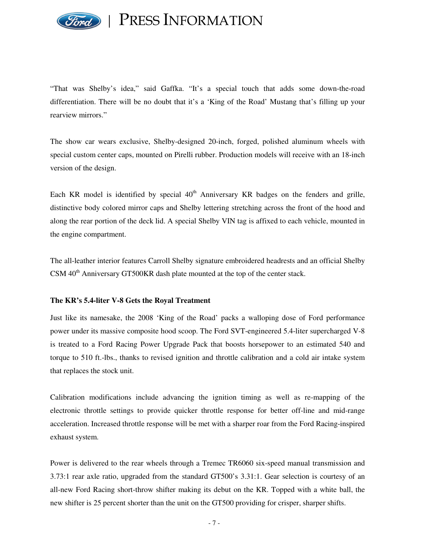

"That was Shelby's idea," said Gaffka. "It's a special touch that adds some down-the-road differentiation. There will be no doubt that it's a 'King of the Road' Mustang that's filling up your rearview mirrors."

The show car wears exclusive, Shelby-designed 20-inch, forged, polished aluminum wheels with special custom center caps, mounted on Pirelli rubber. Production models will receive with an 18-inch version of the design.

Each KR model is identified by special  $40<sup>th</sup>$  Anniversary KR badges on the fenders and grille, distinctive body colored mirror caps and Shelby lettering stretching across the front of the hood and along the rear portion of the deck lid. A special Shelby VIN tag is affixed to each vehicle, mounted in the engine compartment.

The all-leather interior features Carroll Shelby signature embroidered headrests and an official Shelby CSM 40<sup>th</sup> Anniversary GT500KR dash plate mounted at the top of the center stack.

#### **The KR's 5.4-liter V-8 Gets the Royal Treatment**

Just like its namesake, the 2008 'King of the Road' packs a walloping dose of Ford performance power under its massive composite hood scoop. The Ford SVT-engineered 5.4-liter supercharged V-8 is treated to a Ford Racing Power Upgrade Pack that boosts horsepower to an estimated 540 and torque to 510 ft.-lbs., thanks to revised ignition and throttle calibration and a cold air intake system that replaces the stock unit.

Calibration modifications include advancing the ignition timing as well as re-mapping of the electronic throttle settings to provide quicker throttle response for better off-line and mid-range acceleration. Increased throttle response will be met with a sharper roar from the Ford Racing-inspired exhaust system.

Power is delivered to the rear wheels through a Tremec TR6060 six-speed manual transmission and 3.73:1 rear axle ratio, upgraded from the standard GT500's 3.31:1. Gear selection is courtesy of an all-new Ford Racing short-throw shifter making its debut on the KR. Topped with a white ball, the new shifter is 25 percent shorter than the unit on the GT500 providing for crisper, sharper shifts.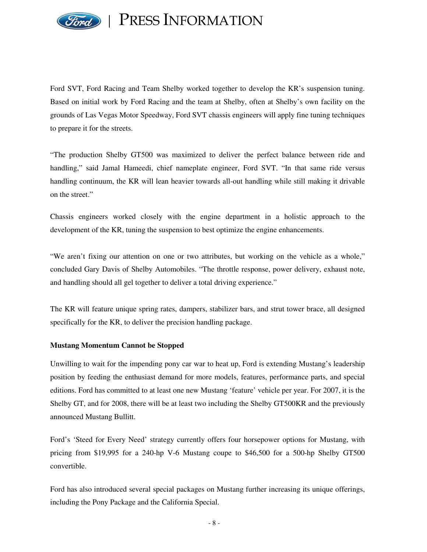

Ford SVT, Ford Racing and Team Shelby worked together to develop the KR's suspension tuning. Based on initial work by Ford Racing and the team at Shelby, often at Shelby's own facility on the grounds of Las Vegas Motor Speedway, Ford SVT chassis engineers will apply fine tuning techniques to prepare it for the streets.

"The production Shelby GT500 was maximized to deliver the perfect balance between ride and handling," said Jamal Hameedi, chief nameplate engineer, Ford SVT. "In that same ride versus handling continuum, the KR will lean heavier towards all-out handling while still making it drivable on the street."

Chassis engineers worked closely with the engine department in a holistic approach to the development of the KR, tuning the suspension to best optimize the engine enhancements.

"We aren't fixing our attention on one or two attributes, but working on the vehicle as a whole," concluded Gary Davis of Shelby Automobiles. "The throttle response, power delivery, exhaust note, and handling should all gel together to deliver a total driving experience."

The KR will feature unique spring rates, dampers, stabilizer bars, and strut tower brace, all designed specifically for the KR, to deliver the precision handling package.

# **Mustang Momentum Cannot be Stopped**

Unwilling to wait for the impending pony car war to heat up, Ford is extending Mustang's leadership position by feeding the enthusiast demand for more models, features, performance parts, and special editions. Ford has committed to at least one new Mustang 'feature' vehicle per year. For 2007, it is the Shelby GT, and for 2008, there will be at least two including the Shelby GT500KR and the previously announced Mustang Bullitt.

Ford's 'Steed for Every Need' strategy currently offers four horsepower options for Mustang, with pricing from \$19,995 for a 240-hp V-6 Mustang coupe to \$46,500 for a 500-hp Shelby GT500 convertible.

Ford has also introduced several special packages on Mustang further increasing its unique offerings, including the Pony Package and the California Special.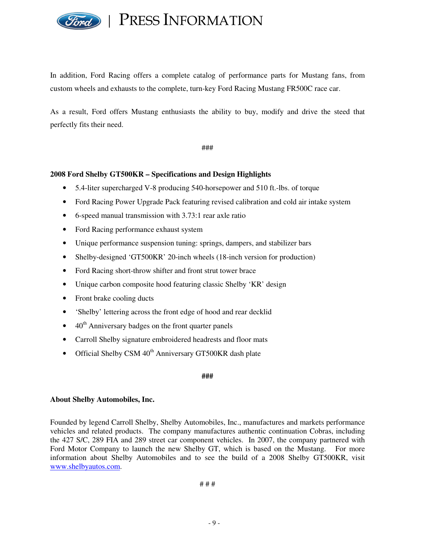

In addition, Ford Racing offers a complete catalog of performance parts for Mustang fans, from custom wheels and exhausts to the complete, turn-key Ford Racing Mustang FR500C race car.

As a result, Ford offers Mustang enthusiasts the ability to buy, modify and drive the steed that perfectly fits their need.

###

# **2008 Ford Shelby GT500KR – Specifications and Design Highlights**

- 5.4-liter supercharged V-8 producing 540-horsepower and 510 ft.-lbs. of torque
- Ford Racing Power Upgrade Pack featuring revised calibration and cold air intake system
- 6-speed manual transmission with 3.73:1 rear axle ratio
- Ford Racing performance exhaust system
- Unique performance suspension tuning: springs, dampers, and stabilizer bars
- Shelby-designed 'GT500KR' 20-inch wheels (18-inch version for production)
- Ford Racing short-throw shifter and front strut tower brace
- Unique carbon composite hood featuring classic Shelby 'KR' design
- Front brake cooling ducts
- 'Shelby' lettering across the front edge of hood and rear decklid
- $\bullet$  40<sup>th</sup> Anniversary badges on the front quarter panels
- Carroll Shelby signature embroidered headrests and floor mats
- Official Shelby CSM 40<sup>th</sup> Anniversary GT500KR dash plate

**###**

#### **About Shelby Automobiles, Inc.**

Founded by legend Carroll Shelby, Shelby Automobiles, Inc., manufactures and markets performance vehicles and related products. The company manufactures authentic continuation Cobras, including the 427 S/C, 289 FIA and 289 street car component vehicles. In 2007, the company partnered with Ford Motor Company to launch the new Shelby GT, which is based on the Mustang. For more information about Shelby Automobiles and to see the build of a 2008 Shelby GT500KR, visit www.shelbyautos.com.

# # #